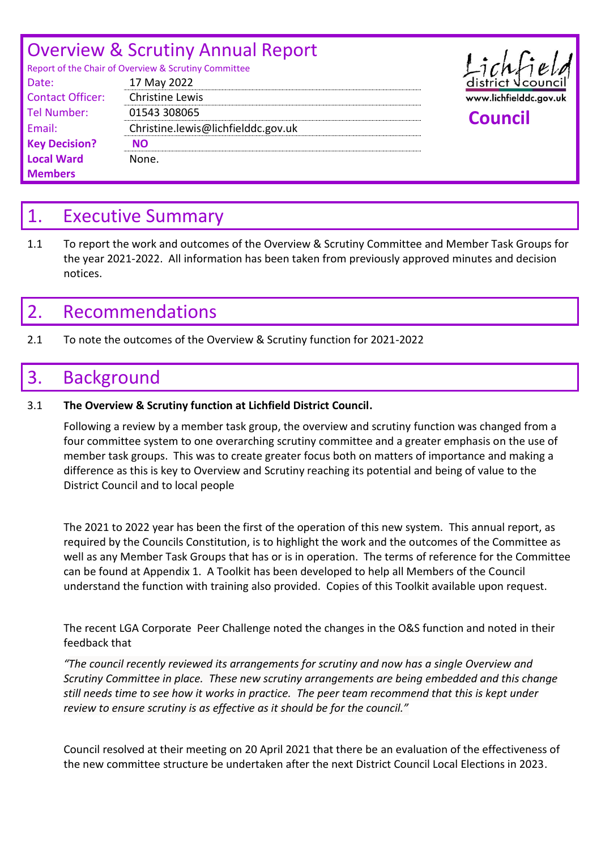# Overview & Scrutiny Annual Report

| Report of the Chair of Overview & Scrutiny Committee |                                    |                     |
|------------------------------------------------------|------------------------------------|---------------------|
| Date:                                                | 17 May 2022                        | $distriet \sqrt{c}$ |
| <b>Contact Officer:</b>                              | <b>Christine Lewis</b>             | www.lichfieldd      |
| Tel Number:                                          | 01543 308065                       | <b>Council</b>      |
| Email:                                               | Christine.lewis@lichfielddc.gov.uk |                     |
| <b>Key Decision?</b>                                 | <b>NO</b>                          |                     |
| <b>Local Ward</b>                                    | None.                              |                     |
| <b>Members</b>                                       |                                    |                     |



## 1. Executive Summary

1.1 To report the work and outcomes of the Overview & Scrutiny Committee and Member Task Groups for the year 2021-2022. All information has been taken from previously approved minutes and decision notices.

## 2. Recommendations

2.1 To note the outcomes of the Overview & Scrutiny function for 2021-2022

## 3. Background

## 3.1 **The Overview & Scrutiny function at Lichfield District Council.**

Following a review by a member task group, the overview and scrutiny function was changed from a four committee system to one overarching scrutiny committee and a greater emphasis on the use of member task groups. This was to create greater focus both on matters of importance and making a difference as this is key to Overview and Scrutiny reaching its potential and being of value to the District Council and to local people

The 2021 to 2022 year has been the first of the operation of this new system. This annual report, as required by the Councils Constitution, is to highlight the work and the outcomes of the Committee as well as any Member Task Groups that has or is in operation. The terms of reference for the Committee can be found at Appendix 1. A Toolkit has been developed to help all Members of the Council understand the function with training also provided. Copies of this Toolkit available upon request.

The recent LGA Corporate Peer Challenge noted the changes in the O&S function and noted in their feedback that

*"The council recently reviewed its arrangements for scrutiny and now has a single Overview and Scrutiny Committee in place. These new scrutiny arrangements are being embedded and this change still needs time to see how it works in practice. The peer team recommend that this is kept under review to ensure scrutiny is as effective as it should be for the council."*

Council resolved at their meeting on 20 April 2021 that there be an evaluation of the effectiveness of the new committee structure be undertaken after the next District Council Local Elections in 2023.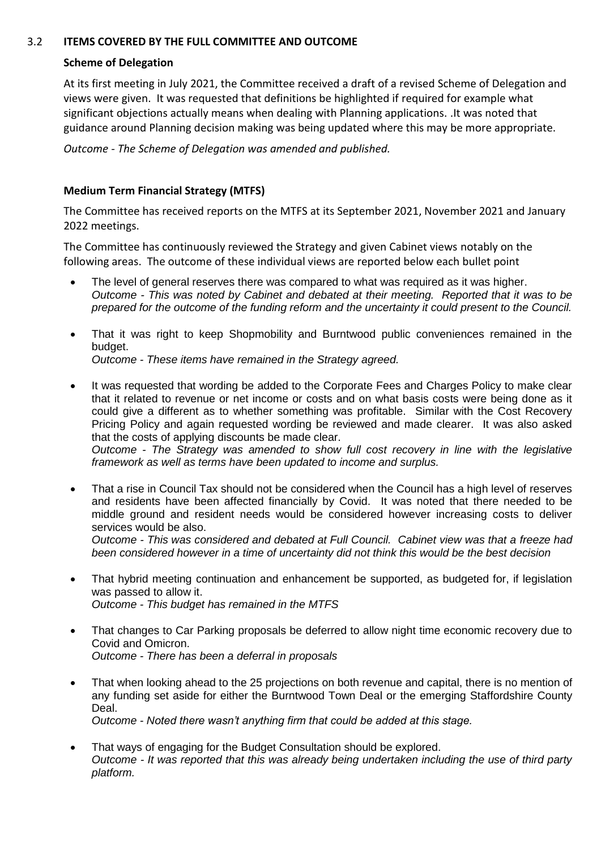#### 3.2 **ITEMS COVERED BY THE FULL COMMITTEE AND OUTCOME**

#### **Scheme of Delegation**

At its first meeting in July 2021, the Committee received a draft of a revised Scheme of Delegation and views were given. It was requested that definitions be highlighted if required for example what significant objections actually means when dealing with Planning applications. .It was noted that guidance around Planning decision making was being updated where this may be more appropriate.

*Outcome - The Scheme of Delegation was amended and published.*

#### **Medium Term Financial Strategy (MTFS)**

The Committee has received reports on the MTFS at its September 2021, November 2021 and January 2022 meetings.

The Committee has continuously reviewed the Strategy and given Cabinet views notably on the following areas. The outcome of these individual views are reported below each bullet point

- The level of general reserves there was compared to what was required as it was higher. *Outcome - This was noted by Cabinet and debated at their meeting. Reported that it was to be prepared for the outcome of the funding reform and the uncertainty it could present to the Council.*
- That it was right to keep Shopmobility and Burntwood public conveniences remained in the budget.

*Outcome - These items have remained in the Strategy agreed.*

- It was requested that wording be added to the Corporate Fees and Charges Policy to make clear that it related to revenue or net income or costs and on what basis costs were being done as it could give a different as to whether something was profitable. Similar with the Cost Recovery Pricing Policy and again requested wording be reviewed and made clearer. It was also asked that the costs of applying discounts be made clear. *Outcome - The Strategy was amended to show full cost recovery in line with the legislative framework as well as terms have been updated to income and surplus.*
- That a rise in Council Tax should not be considered when the Council has a high level of reserves and residents have been affected financially by Covid. It was noted that there needed to be middle ground and resident needs would be considered however increasing costs to deliver services would be also. *Outcome - This was considered and debated at Full Council. Cabinet view was that a freeze had been considered however in a time of uncertainty did not think this would be the best decision*
- That hybrid meeting continuation and enhancement be supported, as budgeted for, if legislation was passed to allow it. *Outcome - This budget has remained in the MTFS*
- That changes to Car Parking proposals be deferred to allow night time economic recovery due to Covid and Omicron. *Outcome - There has been a deferral in proposals*
- That when looking ahead to the 25 projections on both revenue and capital, there is no mention of any funding set aside for either the Burntwood Town Deal or the emerging Staffordshire County Deal. *Outcome - Noted there wasn't anything firm that could be added at this stage.*
- That ways of engaging for the Budget Consultation should be explored. *Outcome - It was reported that this was already being undertaken including the use of third party platform.*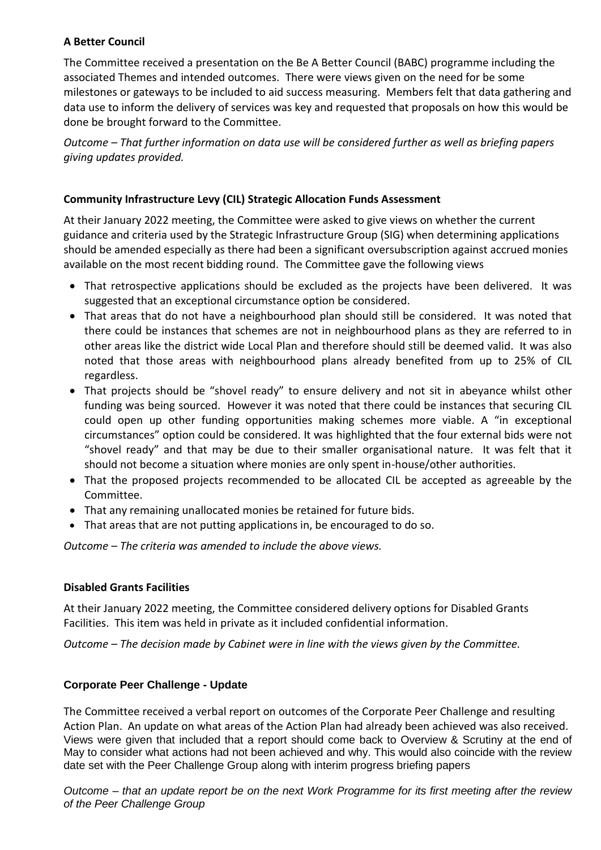## **A Better Council**

The Committee received a presentation on the Be A Better Council (BABC) programme including the associated Themes and intended outcomes. There were views given on the need for be some milestones or gateways to be included to aid success measuring. Members felt that data gathering and data use to inform the delivery of services was key and requested that proposals on how this would be done be brought forward to the Committee.

*Outcome – That further information on data use will be considered further as well as briefing papers giving updates provided.*

## **Community Infrastructure Levy (CIL) Strategic Allocation Funds Assessment**

At their January 2022 meeting, the Committee were asked to give views on whether the current guidance and criteria used by the Strategic Infrastructure Group (SIG) when determining applications should be amended especially as there had been a significant oversubscription against accrued monies available on the most recent bidding round. The Committee gave the following views

- That retrospective applications should be excluded as the projects have been delivered. It was suggested that an exceptional circumstance option be considered.
- That areas that do not have a neighbourhood plan should still be considered. It was noted that there could be instances that schemes are not in neighbourhood plans as they are referred to in other areas like the district wide Local Plan and therefore should still be deemed valid. It was also noted that those areas with neighbourhood plans already benefited from up to 25% of CIL regardless.
- That projects should be "shovel ready" to ensure delivery and not sit in abeyance whilst other funding was being sourced. However it was noted that there could be instances that securing CIL could open up other funding opportunities making schemes more viable. A "in exceptional circumstances" option could be considered. It was highlighted that the four external bids were not "shovel ready" and that may be due to their smaller organisational nature. It was felt that it should not become a situation where monies are only spent in-house/other authorities.
- That the proposed projects recommended to be allocated CIL be accepted as agreeable by the Committee.
- That any remaining unallocated monies be retained for future bids.
- That areas that are not putting applications in, be encouraged to do so.

*Outcome – The criteria was amended to include the above views.*

## **Disabled Grants Facilities**

At their January 2022 meeting, the Committee considered delivery options for Disabled Grants Facilities. This item was held in private as it included confidential information.

*Outcome – The decision made by Cabinet were in line with the views given by the Committee.*

## **Corporate Peer Challenge - Update**

The Committee received a verbal report on outcomes of the Corporate Peer Challenge and resulting Action Plan. An update on what areas of the Action Plan had already been achieved was also received. Views were given that included that a report should come back to Overview & Scrutiny at the end of May to consider what actions had not been achieved and why. This would also coincide with the review date set with the Peer Challenge Group along with interim progress briefing papers

*Outcome – that an update report be on the next Work Programme for its first meeting after the review of the Peer Challenge Group*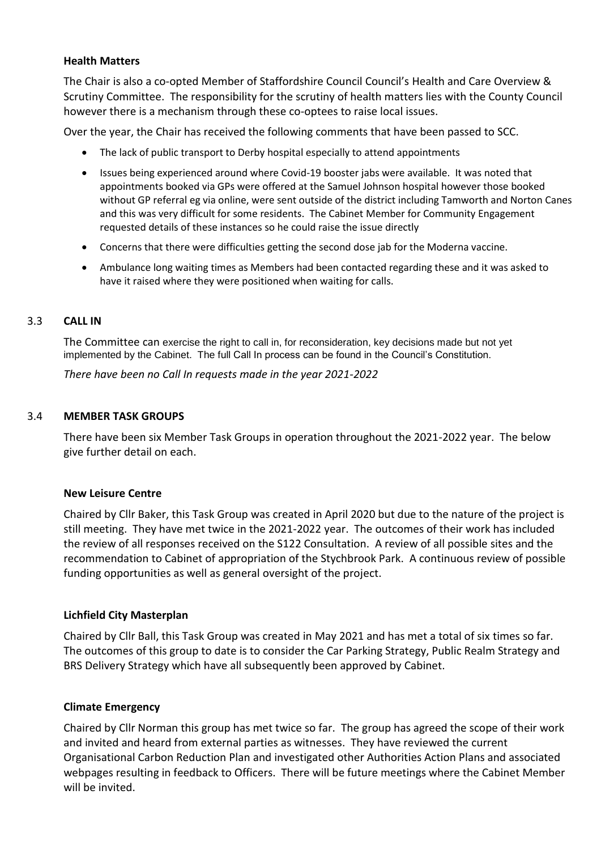#### **Health Matters**

The Chair is also a co-opted Member of Staffordshire Council Council's Health and Care Overview & Scrutiny Committee. The responsibility for the scrutiny of health matters lies with the County Council however there is a mechanism through these co-optees to raise local issues.

Over the year, the Chair has received the following comments that have been passed to SCC.

- The lack of public transport to Derby hospital especially to attend appointments
- Issues being experienced around where Covid-19 booster jabs were available. It was noted that appointments booked via GPs were offered at the Samuel Johnson hospital however those booked without GP referral eg via online, were sent outside of the district including Tamworth and Norton Canes and this was very difficult for some residents. The Cabinet Member for Community Engagement requested details of these instances so he could raise the issue directly
- Concerns that there were difficulties getting the second dose jab for the Moderna vaccine.
- Ambulance long waiting times as Members had been contacted regarding these and it was asked to have it raised where they were positioned when waiting for calls.

#### 3.3 **CALL IN**

The Committee can exercise the right to call in, for reconsideration, key decisions made but not yet implemented by the Cabinet. The full Call In process can be found in the Council's Constitution.

*There have been no Call In requests made in the year 2021-2022*

#### 3.4 **MEMBER TASK GROUPS**

There have been six Member Task Groups in operation throughout the 2021-2022 year. The below give further detail on each.

#### **New Leisure Centre**

Chaired by Cllr Baker, this Task Group was created in April 2020 but due to the nature of the project is still meeting. They have met twice in the 2021-2022 year. The outcomes of their work has included the review of all responses received on the S122 Consultation. A review of all possible sites and the recommendation to Cabinet of appropriation of the Stychbrook Park. A continuous review of possible funding opportunities as well as general oversight of the project.

## **Lichfield City Masterplan**

Chaired by Cllr Ball, this Task Group was created in May 2021 and has met a total of six times so far. The outcomes of this group to date is to consider the Car Parking Strategy, Public Realm Strategy and BRS Delivery Strategy which have all subsequently been approved by Cabinet.

## **Climate Emergency**

Chaired by Cllr Norman this group has met twice so far. The group has agreed the scope of their work and invited and heard from external parties as witnesses. They have reviewed the current Organisational Carbon Reduction Plan and investigated other Authorities Action Plans and associated webpages resulting in feedback to Officers. There will be future meetings where the Cabinet Member will be invited.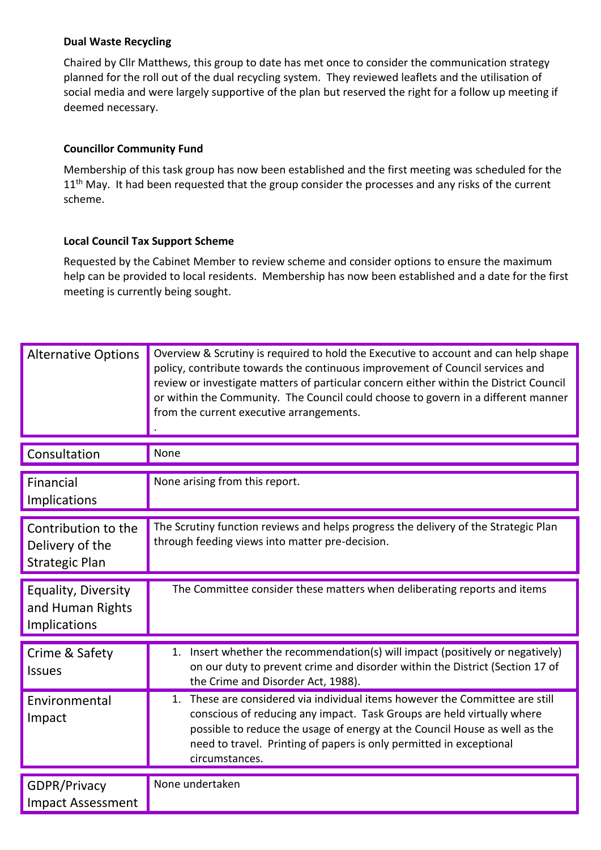### **Dual Waste Recycling**

Chaired by Cllr Matthews, this group to date has met once to consider the communication strategy planned for the roll out of the dual recycling system. They reviewed leaflets and the utilisation of social media and were largely supportive of the plan but reserved the right for a follow up meeting if deemed necessary.

### **Councillor Community Fund**

Membership of this task group has now been established and the first meeting was scheduled for the 11<sup>th</sup> May. It had been requested that the group consider the processes and any risks of the current scheme.

#### **Local Council Tax Support Scheme**

Requested by the Cabinet Member to review scheme and consider options to ensure the maximum help can be provided to local residents. Membership has now been established and a date for the first meeting is currently being sought.

| <b>Alternative Options</b>                                      | Overview & Scrutiny is required to hold the Executive to account and can help shape<br>policy, contribute towards the continuous improvement of Council services and<br>review or investigate matters of particular concern either within the District Council<br>or within the Community. The Council could choose to govern in a different manner<br>from the current executive arrangements. |
|-----------------------------------------------------------------|-------------------------------------------------------------------------------------------------------------------------------------------------------------------------------------------------------------------------------------------------------------------------------------------------------------------------------------------------------------------------------------------------|
| Consultation                                                    | None                                                                                                                                                                                                                                                                                                                                                                                            |
| Financial<br>Implications                                       | None arising from this report.                                                                                                                                                                                                                                                                                                                                                                  |
| Contribution to the<br>Delivery of the<br><b>Strategic Plan</b> | The Scrutiny function reviews and helps progress the delivery of the Strategic Plan<br>through feeding views into matter pre-decision.                                                                                                                                                                                                                                                          |
| Equality, Diversity<br>and Human Rights<br>Implications         | The Committee consider these matters when deliberating reports and items                                                                                                                                                                                                                                                                                                                        |
| Crime & Safety<br><b>Issues</b>                                 | 1. Insert whether the recommendation(s) will impact (positively or negatively)<br>on our duty to prevent crime and disorder within the District (Section 17 of<br>the Crime and Disorder Act, 1988).                                                                                                                                                                                            |
| Environmental<br>Impact                                         | These are considered via individual items however the Committee are still<br>1.<br>conscious of reducing any impact. Task Groups are held virtually where<br>possible to reduce the usage of energy at the Council House as well as the<br>need to travel. Printing of papers is only permitted in exceptional<br>circumstances.                                                                |
| GDPR/Privacy<br><b>Impact Assessment</b>                        | None undertaken                                                                                                                                                                                                                                                                                                                                                                                 |